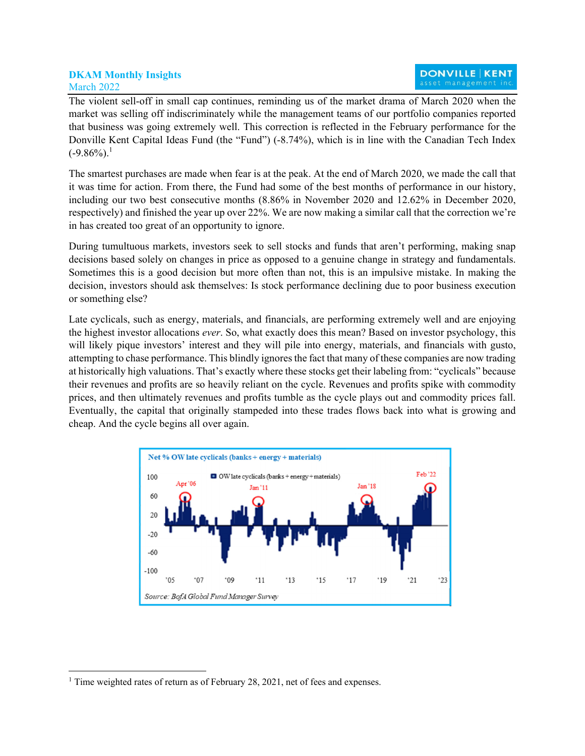## **DKAM Monthly Insights**  March 2022

The violent sell-off in small cap continues, reminding us of the market drama of March 2020 when the market was selling off indiscriminately while the management teams of our portfolio companies reported that business was going extremely well. This correction is reflected in the February performance for the Donville Kent Capital Ideas Fund (the "Fund") (-8.74%), which is in line with the Canadian Tech Index  $(-9.86\%)$ <sup>1</sup>

The smartest purchases are made when fear is at the peak. At the end of March 2020, we made the call that it was time for action. From there, the Fund had some of the best months of performance in our history, including our two best consecutive months (8.86% in November 2020 and 12.62% in December 2020, respectively) and finished the year up over 22%. We are now making a similar call that the correction we're in has created too great of an opportunity to ignore.

During tumultuous markets, investors seek to sell stocks and funds that aren't performing, making snap decisions based solely on changes in price as opposed to a genuine change in strategy and fundamentals. Sometimes this is a good decision but more often than not, this is an impulsive mistake. In making the decision, investors should ask themselves: Is stock performance declining due to poor business execution or something else?

Late cyclicals, such as energy, materials, and financials, are performing extremely well and are enjoying the highest investor allocations *ever*. So, what exactly does this mean? Based on investor psychology, this will likely pique investors' interest and they will pile into energy, materials, and financials with gusto, attempting to chase performance. This blindly ignores the fact that many of these companies are now trading at historically high valuations. That's exactly where these stocks get their labeling from: "cyclicals" because their revenues and profits are so heavily reliant on the cycle. Revenues and profits spike with commodity prices, and then ultimately revenues and profits tumble as the cycle plays out and commodity prices fall. Eventually, the capital that originally stampeded into these trades flows back into what is growing and cheap. And the cycle begins all over again.



<sup>&</sup>lt;sup>1</sup> Time weighted rates of return as of February 28, 2021, net of fees and expenses.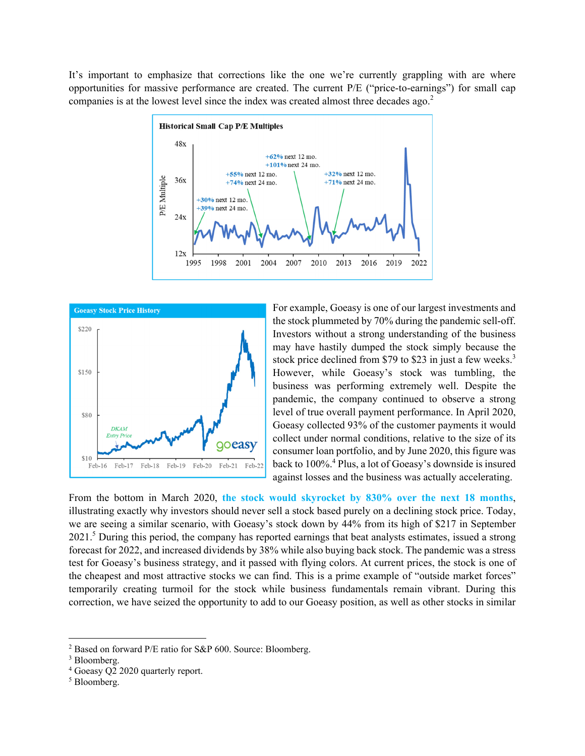It's important to emphasize that corrections like the one we're currently grappling with are where opportunities for massive performance are created. The current P/E ("price-to-earnings") for small cap companies is at the lowest level since the index was created almost three decades ago.<sup>2</sup>





For example, Goeasy is one of our largest investments and the stock plummeted by 70% during the pandemic sell-off. Investors without a strong understanding of the business may have hastily dumped the stock simply because the stock price declined from \$79 to \$23 in just a few weeks.<sup>3</sup> However, while Goeasy's stock was tumbling, the business was performing extremely well. Despite the pandemic, the company continued to observe a strong level of true overall payment performance. In April 2020, Goeasy collected 93% of the customer payments it would collect under normal conditions, relative to the size of its consumer loan portfolio, and by June 2020, this figure was back to 100%.<sup>4</sup> Plus, a lot of Goeasy's downside is insured against losses and the business was actually accelerating.

From the bottom in March 2020, **the stock would skyrocket by 830% over the next 18 months**, illustrating exactly why investors should never sell a stock based purely on a declining stock price. Today, we are seeing a similar scenario, with Goeasy's stock down by 44% from its high of \$217 in September 2021.<sup>5</sup> During this period, the company has reported earnings that beat analysts estimates, issued a strong forecast for 2022, and increased dividends by 38% while also buying back stock. The pandemic was a stress test for Goeasy's business strategy, and it passed with flying colors. At current prices, the stock is one of the cheapest and most attractive stocks we can find. This is a prime example of "outside market forces" temporarily creating turmoil for the stock while business fundamentals remain vibrant. During this correction, we have seized the opportunity to add to our Goeasy position, as well as other stocks in similar

<sup>2</sup> Based on forward P/E ratio for S&P 600. Source: Bloomberg.

<sup>3</sup> Bloomberg.

<sup>&</sup>lt;sup>4</sup> Goeasy Q2 2020 quarterly report.

<sup>5</sup> Bloomberg.